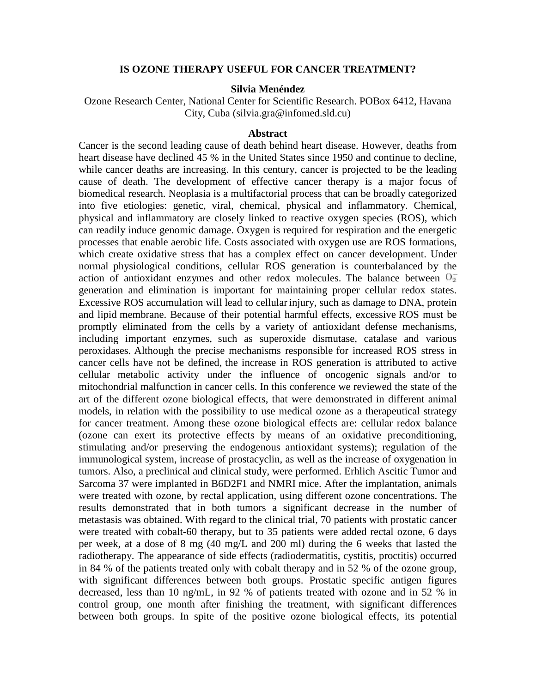## **IS OZONE THERAPY USEFUL FOR CANCER TREATMENT?**

## **Silvia Menéndez**

Ozone Research Center, National Center for Scientific Research. POBox 6412, Havana City, Cuba (silvia.gra@infomed.sld.cu)

## **Abstract**

Cancer is the second leading cause of death behind heart disease. However, deaths from heart disease have declined 45 % in the United States since 1950 and continue to decline, while cancer deaths are increasing. In this century, cancer is projected to be the leading cause of death. The development of effective cancer therapy is a major focus of biomedical research. Neoplasia is a multifactorial process that can be broadly categorized into five etiologies: genetic, viral, chemical, physical and inflammatory. Chemical, physical and inflammatory are closely linked to reactive oxygen species (ROS), which can readily induce genomic damage. Oxygen is required for respiration and the energetic processes that enable aerobic life. Costs associated with oxygen use are ROS formations, which create oxidative stress that has a complex effect on cancer development. Under normal physiological conditions, cellular ROS generation is counterbalanced by the action of antioxidant enzymes and other redox molecules. The balance between  $0_2^$ generation and elimination is important for maintaining proper cellular redox states. Excessive ROS accumulation will lead to cellular injury, such as damage to DNA, protein and lipid membrane. Because of their potential harmful effects, excessive ROS must be promptly eliminated from the cells by a variety of antioxidant defense mechanisms, including important enzymes, such as superoxide dismutase, catalase and various peroxidases. Although the precise mechanisms responsible for increased ROS stress in cancer cells have not be defined, the increase in ROS generation is attributed to active cellular metabolic activity under the influence of oncogenic signals and/or to mitochondrial malfunction in cancer cells. In this conference we reviewed the state of the art of the different ozone biological effects, that were demonstrated in different animal models, in relation with the possibility to use medical ozone as a therapeutical strategy for cancer treatment. Among these ozone biological effects are: cellular redox balance (ozone can exert its protective effects by means of an oxidative preconditioning, stimulating and/or preserving the endogenous antioxidant systems); regulation of the immunological system, increase of prostacyclin, as well as the increase of oxygenation in tumors. Also, a preclinical and clinical study, were performed. Erhlich Ascitic Tumor and Sarcoma 37 were implanted in B6D2F1 and NMRI mice. After the implantation, animals were treated with ozone, by rectal application, using different ozone concentrations. The results demonstrated that in both tumors a significant decrease in the number of metastasis was obtained. With regard to the clinical trial, 70 patients with prostatic cancer were treated with cobalt-60 therapy, but to 35 patients were added rectal ozone, 6 days per week, at a dose of 8 mg (40 mg/L and 200 ml) during the 6 weeks that lasted the radiotherapy. The appearance of side effects (radiodermatitis, cystitis, proctitis) occurred in 84 % of the patients treated only with cobalt therapy and in 52 % of the ozone group, with significant differences between both groups. Prostatic specific antigen figures decreased, less than 10 ng/mL, in 92 % of patients treated with ozone and in 52 % in control group, one month after finishing the treatment, with significant differences between both groups. In spite of the positive ozone biological effects, its potential